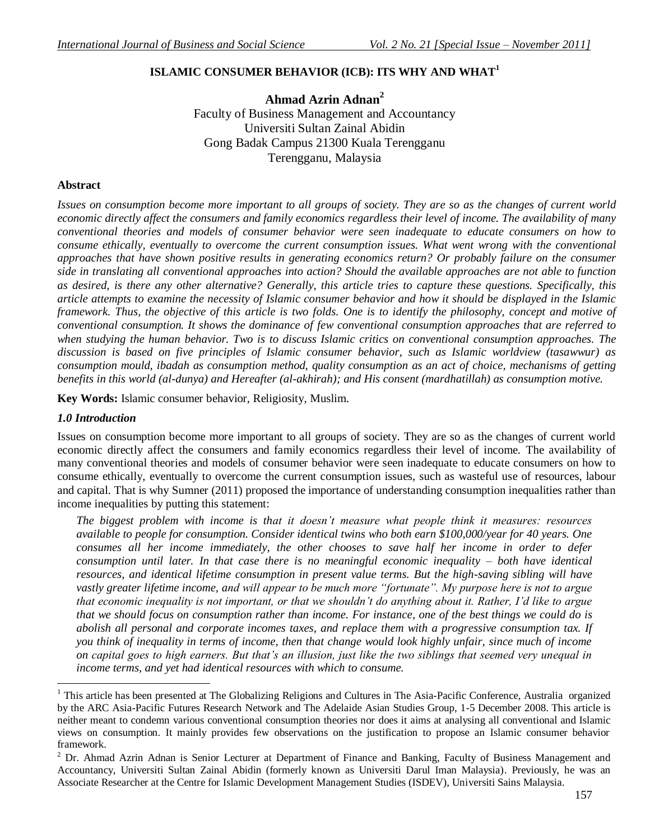# **ISLAMIC CONSUMER BEHAVIOR (ICB): ITS WHY AND WHAT<sup>1</sup>**

**Ahmad Azrin Adnan<sup>2</sup>** Faculty of Business Management and Accountancy Universiti Sultan Zainal Abidin Gong Badak Campus 21300 Kuala Terengganu Terengganu, Malaysia

## **Abstract**

*Issues on consumption become more important to all groups of society. They are so as the changes of current world economic directly affect the consumers and family economics regardless their level of income. The availability of many conventional theories and models of consumer behavior were seen inadequate to educate consumers on how to consume ethically, eventually to overcome the current consumption issues. What went wrong with the conventional approaches that have shown positive results in generating economics return? Or probably failure on the consumer side in translating all conventional approaches into action? Should the available approaches are not able to function as desired, is there any other alternative? Generally, this article tries to capture these questions. Specifically, this article attempts to examine the necessity of Islamic consumer behavior and how it should be displayed in the Islamic framework. Thus, the objective of this article is two folds. One is to identify the philosophy, concept and motive of conventional consumption. It shows the dominance of few conventional consumption approaches that are referred to when studying the human behavior. Two is to discuss Islamic critics on conventional consumption approaches. The discussion is based on five principles of Islamic consumer behavior, such as Islamic worldview (tasawwur) as consumption mould, ibadah as consumption method, quality consumption as an act of choice, mechanisms of getting benefits in this world (al-dunya) and Hereafter (al-akhirah); and His consent (mardhatillah) as consumption motive.* 

**Key Words:** Islamic consumer behavior, Religiosity, Muslim.

## *1.0 Introduction*

 $\overline{a}$ 

Issues on consumption become more important to all groups of society. They are so as the changes of current world economic directly affect the consumers and family economics regardless their level of income. The availability of many conventional theories and models of consumer behavior were seen inadequate to educate consumers on how to consume ethically, eventually to overcome the current consumption issues, such as wasteful use of resources, labour and capital. That is why Sumner (2011) proposed the importance of understanding consumption inequalities rather than income inequalities by putting this statement:

*The biggest problem with income is that it doesn't measure what people think it measures: resources available to people for consumption. Consider identical twins who both earn \$100,000/year for 40 years. One consumes all her income immediately, the other chooses to save half her income in order to defer consumption until later. In that case there is no meaningful economic inequality – both have identical resources, and identical lifetime consumption in present value terms. But the high-saving sibling will have*  vastly greater lifetime income, and will appear to be much more "fortunate". My purpose here is not to argue *that economic inequality is not important, or that we shouldn't do anything about it. Rather, I'd like to argue that we should focus on consumption rather than income. For instance, one of the best things we could do is abolish all personal and corporate incomes taxes, and replace them with a progressive consumption tax. If you think of inequality in terms of income, then that change would look highly unfair, since much of income on capital goes to high earners. But that's an illusion, just like the two siblings that seemed very unequal in income terms, and yet had identical resources with which to consume.*

<sup>&</sup>lt;sup>1</sup> This article has been presented at The Globalizing Religions and Cultures in The Asia-Pacific Conference, Australia organized by the ARC Asia-Pacific Futures Research Network and The Adelaide Asian Studies Group, 1-5 December 2008. This article is neither meant to condemn various conventional consumption theories nor does it aims at analysing all conventional and Islamic views on consumption. It mainly provides few observations on the justification to propose an Islamic consumer behavior framework.

<sup>&</sup>lt;sup>2</sup> Dr. Ahmad Azrin Adnan is Senior Lecturer at Department of Finance and Banking, Faculty of Business Management and Accountancy, Universiti Sultan Zainal Abidin (formerly known as Universiti Darul Iman Malaysia). Previously, he was an Associate Researcher at the Centre for Islamic Development Management Studies (ISDEV), Universiti Sains Malaysia.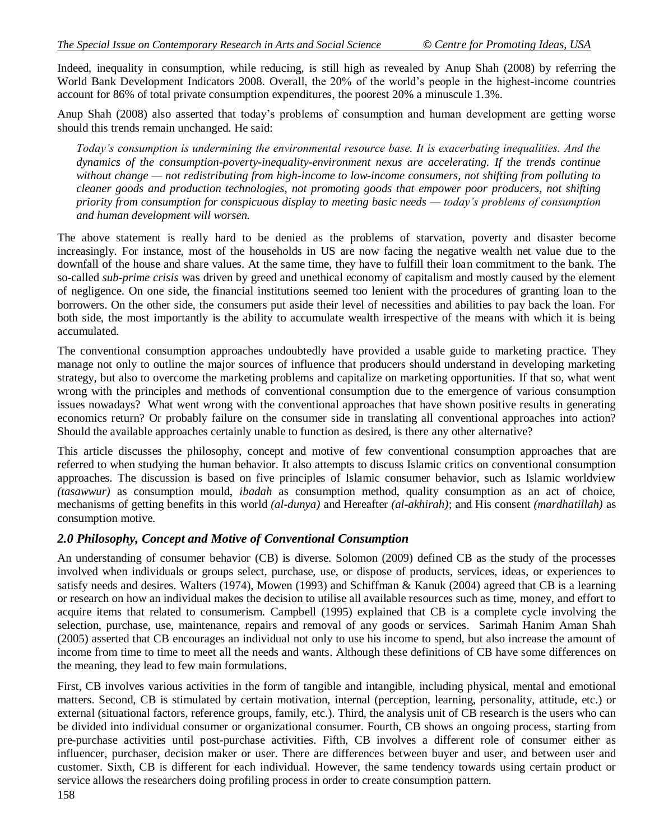Indeed, inequality in consumption, while reducing, is still high as revealed by Anup Shah (2008) by referring the World Bank Development Indicators 2008. Overall, the 20% of the world's people in the highest-income countries account for 86% of total private consumption expenditures, the poorest 20% a minuscule 1.3%.

Anup Shah (2008) also asserted that today"s problems of consumption and human development are getting worse should this trends remain unchanged. He said:

*Today's consumption is undermining the environmental resource base. It is exacerbating inequalities. And the dynamics of the consumption-poverty-inequality-environment nexus are accelerating. If the trends continue without change — not redistributing from high-income to low-income consumers, not shifting from polluting to cleaner goods and production technologies, not promoting goods that empower poor producers, not shifting priority from consumption for conspicuous display to meeting basic needs — today's problems of consumption and human development will worsen.*

The above statement is really hard to be denied as the problems of starvation, poverty and disaster become increasingly. For instance, most of the households in US are now facing the negative wealth net value due to the downfall of the house and share values. At the same time, they have to fulfill their loan commitment to the bank. The so-called *sub-prime crisis* was driven by greed and unethical economy of capitalism and mostly caused by the element of negligence. On one side, the financial institutions seemed too lenient with the procedures of granting loan to the borrowers. On the other side, the consumers put aside their level of necessities and abilities to pay back the loan. For both side, the most importantly is the ability to accumulate wealth irrespective of the means with which it is being accumulated.

The conventional consumption approaches undoubtedly have provided a usable guide to marketing practice. They manage not only to outline the major sources of influence that producers should understand in developing marketing strategy, but also to overcome the marketing problems and capitalize on marketing opportunities. If that so, what went wrong with the principles and methods of conventional consumption due to the emergence of various consumption issues nowadays? What went wrong with the conventional approaches that have shown positive results in generating economics return? Or probably failure on the consumer side in translating all conventional approaches into action? Should the available approaches certainly unable to function as desired, is there any other alternative?

This article discusses the philosophy, concept and motive of few conventional consumption approaches that are referred to when studying the human behavior. It also attempts to discuss Islamic critics on conventional consumption approaches. The discussion is based on five principles of Islamic consumer behavior, such as Islamic worldview *(tasawwur)* as consumption mould, *ibadah* as consumption method, quality consumption as an act of choice, mechanisms of getting benefits in this world *(al-dunya)* and Hereafter *(al-akhirah)*; and His consent *(mardhatillah)* as consumption motive.

## *2.0 Philosophy, Concept and Motive of Conventional Consumption*

An understanding of consumer behavior (CB) is diverse. Solomon (2009) defined CB as the study of the processes involved when individuals or groups select, purchase, use, or dispose of products, services, ideas, or experiences to satisfy needs and desires. Walters (1974), Mowen (1993) and Schiffman & Kanuk (2004) agreed that CB is a learning or research on how an individual makes the decision to utilise all available resources such as time, money, and effort to acquire items that related to consumerism. Campbell (1995) explained that CB is a complete cycle involving the selection, purchase, use, maintenance, repairs and removal of any goods or services. Sarimah Hanim Aman Shah (2005) asserted that CB encourages an individual not only to use his income to spend, but also increase the amount of income from time to time to meet all the needs and wants. Although these definitions of CB have some differences on the meaning, they lead to few main formulations.

First, CB involves various activities in the form of tangible and intangible, including physical, mental and emotional matters. Second, CB is stimulated by certain motivation, internal (perception, learning, personality, attitude, etc.) or external (situational factors, reference groups, family, etc.). Third, the analysis unit of CB research is the users who can be divided into individual consumer or organizational consumer. Fourth, CB shows an ongoing process, starting from pre-purchase activities until post-purchase activities. Fifth, CB involves a different role of consumer either as influencer, purchaser, decision maker or user. There are differences between buyer and user, and between user and customer. Sixth, CB is different for each individual. However, the same tendency towards using certain product or service allows the researchers doing profiling process in order to create consumption pattern.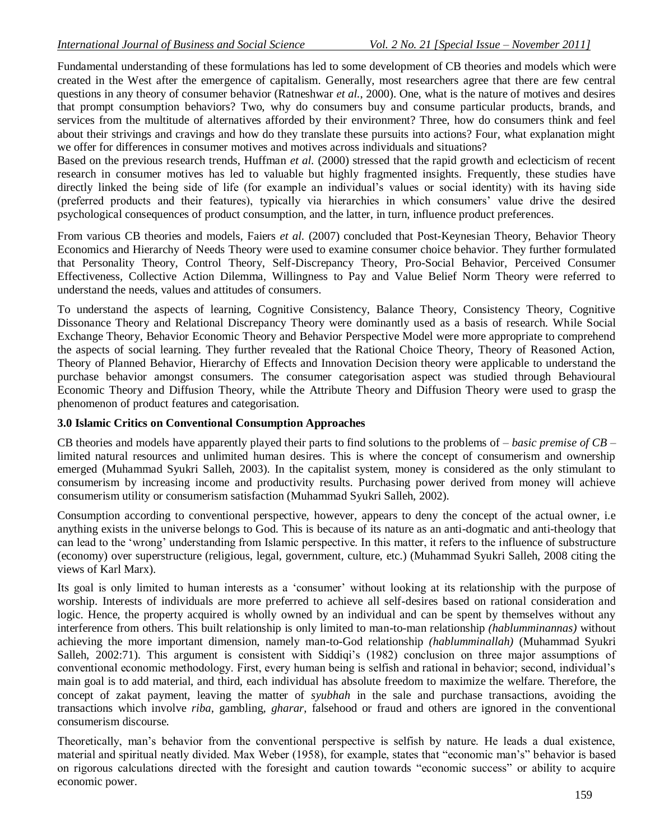Fundamental understanding of these formulations has led to some development of CB theories and models which were created in the West after the emergence of capitalism. Generally, most researchers agree that there are few central questions in any theory of consumer behavior (Ratneshwar *et al.*, 2000). One, what is the nature of motives and desires that prompt consumption behaviors? Two, why do consumers buy and consume particular products, brands, and services from the multitude of alternatives afforded by their environment? Three, how do consumers think and feel about their strivings and cravings and how do they translate these pursuits into actions? Four, what explanation might we offer for differences in consumer motives and motives across individuals and situations?

Based on the previous research trends, Huffman *et al.* (2000) stressed that the rapid growth and eclecticism of recent research in consumer motives has led to valuable but highly fragmented insights. Frequently, these studies have directly linked the being side of life (for example an individual"s values or social identity) with its having side (preferred products and their features), typically via hierarchies in which consumers" value drive the desired psychological consequences of product consumption, and the latter, in turn, influence product preferences.

From various CB theories and models, Faiers *et al.* (2007) concluded that Post-Keynesian Theory, Behavior Theory Economics and Hierarchy of Needs Theory were used to examine consumer choice behavior. They further formulated that Personality Theory, Control Theory, Self-Discrepancy Theory, Pro-Social Behavior, Perceived Consumer Effectiveness, Collective Action Dilemma, Willingness to Pay and Value Belief Norm Theory were referred to understand the needs, values and attitudes of consumers.

To understand the aspects of learning, Cognitive Consistency, Balance Theory, Consistency Theory, Cognitive Dissonance Theory and Relational Discrepancy Theory were dominantly used as a basis of research. While Social Exchange Theory, Behavior Economic Theory and Behavior Perspective Model were more appropriate to comprehend the aspects of social learning. They further revealed that the Rational Choice Theory, Theory of Reasoned Action, Theory of Planned Behavior, Hierarchy of Effects and Innovation Decision theory were applicable to understand the purchase behavior amongst consumers. The consumer categorisation aspect was studied through Behavioural Economic Theory and Diffusion Theory, while the Attribute Theory and Diffusion Theory were used to grasp the phenomenon of product features and categorisation.

#### **3.0 Islamic Critics on Conventional Consumption Approaches**

CB theories and models have apparently played their parts to find solutions to the problems of *– basic premise of CB –* limited natural resources and unlimited human desires. This is where the concept of consumerism and ownership emerged (Muhammad Syukri Salleh, 2003). In the capitalist system, money is considered as the only stimulant to consumerism by increasing income and productivity results. Purchasing power derived from money will achieve consumerism utility or consumerism satisfaction (Muhammad Syukri Salleh, 2002).

Consumption according to conventional perspective, however, appears to deny the concept of the actual owner, i.e anything exists in the universe belongs to God. This is because of its nature as an anti-dogmatic and anti-theology that can lead to the "wrong" understanding from Islamic perspective. In this matter, it refers to the influence of substructure (economy) over superstructure (religious, legal, government, culture, etc.) (Muhammad Syukri Salleh, 2008 citing the views of Karl Marx).

Its goal is only limited to human interests as a "consumer" without looking at its relationship with the purpose of worship. Interests of individuals are more preferred to achieve all self-desires based on rational consideration and logic. Hence, the property acquired is wholly owned by an individual and can be spent by themselves without any interference from others. This built relationship is only limited to man-to-man relationship *(hablumminannas)* without achieving the more important dimension, namely man-to-God relationship *(hablumminallah)* (Muhammad Syukri Salleh, 2002:71). This argument is consistent with Siddiqi's (1982) conclusion on three major assumptions of conventional economic methodology. First, every human being is selfish and rational in behavior; second, individual"s main goal is to add material, and third, each individual has absolute freedom to maximize the welfare. Therefore, the concept of zakat payment, leaving the matter of *syubhah* in the sale and purchase transactions, avoiding the transactions which involve *riba*, gambling, *gharar*, falsehood or fraud and others are ignored in the conventional consumerism discourse.

Theoretically, man"s behavior from the conventional perspective is selfish by nature. He leads a dual existence, material and spiritual neatly divided. Max Weber (1958), for example, states that "economic man"s" behavior is based on rigorous calculations directed with the foresight and caution towards "economic success" or ability to acquire economic power.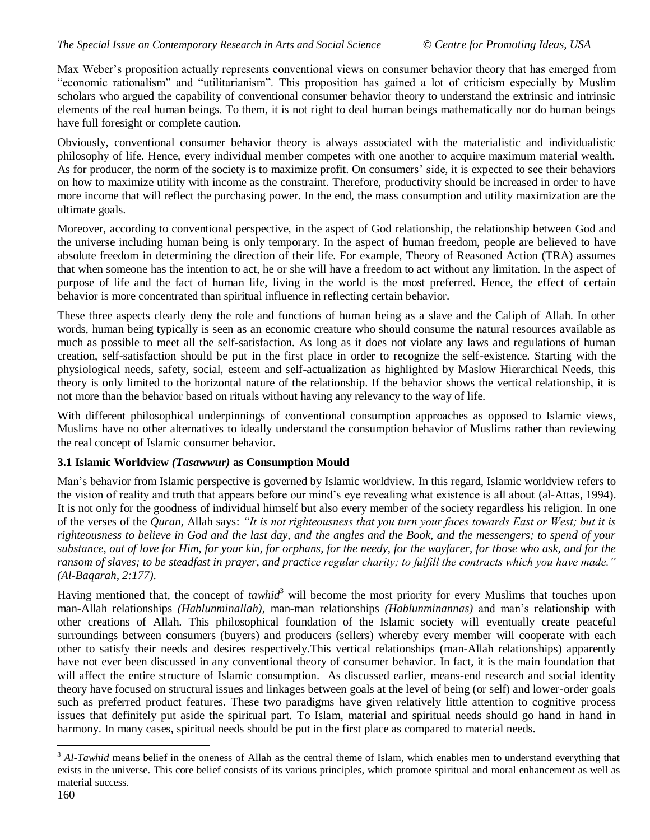Max Weber"s proposition actually represents conventional views on consumer behavior theory that has emerged from "economic rationalism" and "utilitarianism". This proposition has gained a lot of criticism especially by Muslim scholars who argued the capability of conventional consumer behavior theory to understand the extrinsic and intrinsic elements of the real human beings. To them, it is not right to deal human beings mathematically nor do human beings have full foresight or complete caution.

Obviously, conventional consumer behavior theory is always associated with the materialistic and individualistic philosophy of life. Hence, every individual member competes with one another to acquire maximum material wealth. As for producer, the norm of the society is to maximize profit. On consumers' side, it is expected to see their behaviors on how to maximize utility with income as the constraint. Therefore, productivity should be increased in order to have more income that will reflect the purchasing power. In the end, the mass consumption and utility maximization are the ultimate goals.

Moreover, according to conventional perspective, in the aspect of God relationship, the relationship between God and the universe including human being is only temporary. In the aspect of human freedom, people are believed to have absolute freedom in determining the direction of their life. For example, Theory of Reasoned Action (TRA) assumes that when someone has the intention to act, he or she will have a freedom to act without any limitation. In the aspect of purpose of life and the fact of human life, living in the world is the most preferred. Hence, the effect of certain behavior is more concentrated than spiritual influence in reflecting certain behavior.

These three aspects clearly deny the role and functions of human being as a slave and the Caliph of Allah. In other words, human being typically is seen as an economic creature who should consume the natural resources available as much as possible to meet all the self-satisfaction. As long as it does not violate any laws and regulations of human creation, self-satisfaction should be put in the first place in order to recognize the self-existence. Starting with the physiological needs, safety, social, esteem and self-actualization as highlighted by Maslow Hierarchical Needs, this theory is only limited to the horizontal nature of the relationship. If the behavior shows the vertical relationship, it is not more than the behavior based on rituals without having any relevancy to the way of life.

With different philosophical underpinnings of conventional consumption approaches as opposed to Islamic views, Muslims have no other alternatives to ideally understand the consumption behavior of Muslims rather than reviewing the real concept of Islamic consumer behavior.

#### **3.1 Islamic Worldview** *(Tasawwur)* **as Consumption Mould**

Man"s behavior from Islamic perspective is governed by Islamic worldview. In this regard, Islamic worldview refers to the vision of reality and truth that appears before our mind"s eye revealing what existence is all about (al-Attas, 1994). It is not only for the goodness of individual himself but also every member of the society regardless his religion. In one of the verses of the *Quran*, Allah says: "It is not righteousness that you turn your faces towards East or West; but it is *righteousness to believe in God and the last day, and the angles and the Book, and the messengers; to spend of your substance, out of love for Him, for your kin, for orphans, for the needy, for the wayfarer, for those who ask, and for the*  ransom of slaves; to be steadfast in prayer, and practice regular charity; to fulfill the contracts which you have made." *(Al-Baqarah, 2:177)*.

Having mentioned that, the concept of *tawhid*<sup>3</sup> will become the most priority for every Muslims that touches upon man-Allah relationships *(Hablunminallah)*, man-man relationships *(Hablunminannas)* and man"s relationship with other creations of Allah. This philosophical foundation of the Islamic society will eventually create peaceful surroundings between consumers (buyers) and producers (sellers) whereby every member will cooperate with each other to satisfy their needs and desires respectively.This vertical relationships (man-Allah relationships) apparently have not ever been discussed in any conventional theory of consumer behavior. In fact, it is the main foundation that will affect the entire structure of Islamic consumption. As discussed earlier, means-end research and social identity theory have focused on structural issues and linkages between goals at the level of being (or self) and lower-order goals such as preferred product features. These two paradigms have given relatively little attention to cognitive process issues that definitely put aside the spiritual part. To Islam, material and spiritual needs should go hand in hand in harmony. In many cases, spiritual needs should be put in the first place as compared to material needs.

 $\overline{a}$ <sup>3</sup> Al-Tawhid means belief in the oneness of Allah as the central theme of Islam, which enables men to understand everything that exists in the universe. This core belief consists of its various principles, which promote spiritual and moral enhancement as well as material success.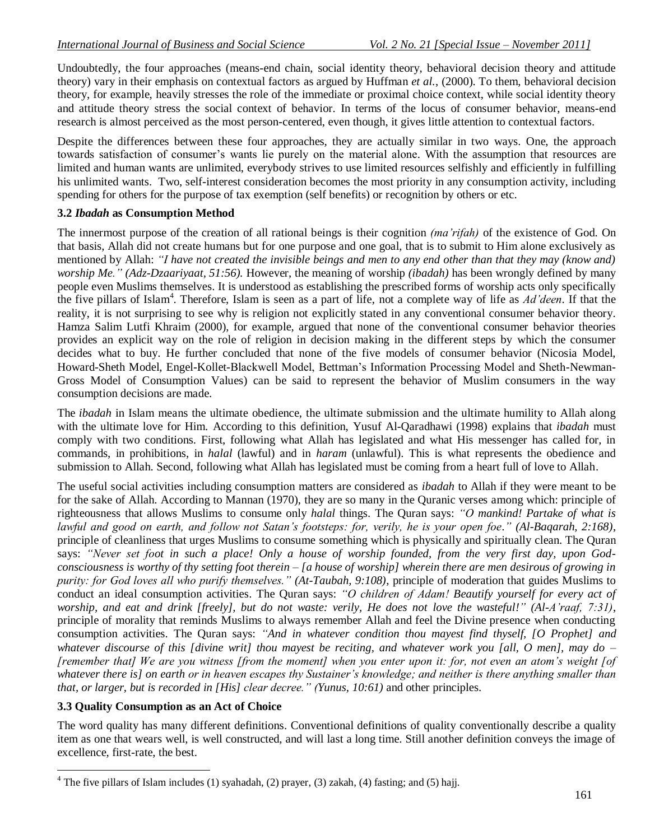Undoubtedly, the four approaches (means-end chain, social identity theory, behavioral decision theory and attitude theory) vary in their emphasis on contextual factors as argued by Huffman *et al.*, (2000). To them, behavioral decision theory, for example, heavily stresses the role of the immediate or proximal choice context, while social identity theory and attitude theory stress the social context of behavior. In terms of the locus of consumer behavior, means-end research is almost perceived as the most person-centered, even though, it gives little attention to contextual factors.

Despite the differences between these four approaches, they are actually similar in two ways. One, the approach towards satisfaction of consumer"s wants lie purely on the material alone. With the assumption that resources are limited and human wants are unlimited, everybody strives to use limited resources selfishly and efficiently in fulfilling his unlimited wants. Two, self-interest consideration becomes the most priority in any consumption activity, including spending for others for the purpose of tax exemption (self benefits) or recognition by others or etc.

#### **3.2** *Ibadah* **as Consumption Method**

The innermost purpose of the creation of all rational beings is their cognition *(ma'rifah)* of the existence of God. On that basis, Allah did not create humans but for one purpose and one goal, that is to submit to Him alone exclusively as mentioned by Allah: *"I have not created the invisible beings and men to any end other than that they may (know and) worship Me.‖ (Adz-Dzaariyaat, 51:56).* However, the meaning of worship *(ibadah)* has been wrongly defined by many people even Muslims themselves. It is understood as establishing the prescribed forms of worship acts only specifically the five pillars of Islam<sup>4</sup>. Therefore, Islam is seen as a part of life, not a complete way of life as *Ad'deen*. If that the reality, it is not surprising to see why is religion not explicitly stated in any conventional consumer behavior theory. Hamza Salim Lutfi Khraim (2000), for example, argued that none of the conventional consumer behavior theories provides an explicit way on the role of religion in decision making in the different steps by which the consumer decides what to buy. He further concluded that none of the five models of consumer behavior (Nicosia Model, Howard-Sheth Model, Engel-Kollet-Blackwell Model, Bettman"s Information Processing Model and Sheth-Newman-Gross Model of Consumption Values) can be said to represent the behavior of Muslim consumers in the way consumption decisions are made.

The *ibadah* in Islam means the ultimate obedience, the ultimate submission and the ultimate humility to Allah along with the ultimate love for Him. According to this definition, Yusuf Al-Qaradhawi (1998) explains that *ibadah* must comply with two conditions. First, following what Allah has legislated and what His messenger has called for, in commands, in prohibitions, in *halal* (lawful) and in *haram* (unlawful). This is what represents the obedience and submission to Allah. Second, following what Allah has legislated must be coming from a heart full of love to Allah.

The useful social activities including consumption matters are considered as *ibadah* to Allah if they were meant to be for the sake of Allah. According to Mannan (1970), they are so many in the Quranic verses among which: principle of righteousness that allows Muslims to consume only *halal* things. The Quran says: "O mankind! Partake of what is *lawful and good on earth, and follow not Satan's footsteps: for, verily, he is your open foe.‖ (Al-Baqarah, 2:168)*, principle of cleanliness that urges Muslims to consume something which is physically and spiritually clean. The Quran says: "Never set foot in such a place! Only a house of worship founded, from the very first day, upon God*consciousness is worthy of thy setting foot therein – [a house of worship] wherein there are men desirous of growing in purity: for God loves all who purify themselves.‖ (At-Taubah, 9:108)*, principle of moderation that guides Muslims to conduct an ideal consumption activities. The Quran says: "O children of Adam! Beautify yourself for every act of *worship, and eat and drink [freely], but do not waste: verily, He does not love the wasteful!‖ (Al-A'raaf, 7:31)*, principle of morality that reminds Muslims to always remember Allah and feel the Divine presence when conducting consumption activities. The Quran says: "And in whatever condition thou mayest find thyself, [O Prophet] and *whatever discourse of this [divine writ] thou mayest be reciting, and whatever work you [all, O men], may do – [remember that] We are you witness [from the moment] when you enter upon it: for, not even an atom's weight [of whatever there is] on earth or in heaven escapes thy Sustainer's knowledge; and neither is there anything smaller than that, or larger, but is recorded in [His] clear decree.‖ (Yunus, 10:61)* and other principles.

## **3.3 Quality Consumption as an Act of Choice**

 $\overline{a}$ 

The word quality has many different definitions. Conventional definitions of quality conventionally describe a quality item as one that wears well, is well constructed, and will last a long time. Still another definition conveys the image of excellence, first-rate, the best.

 $4$  The five pillars of Islam includes (1) syahadah, (2) prayer, (3) zakah, (4) fasting; and (5) hajj.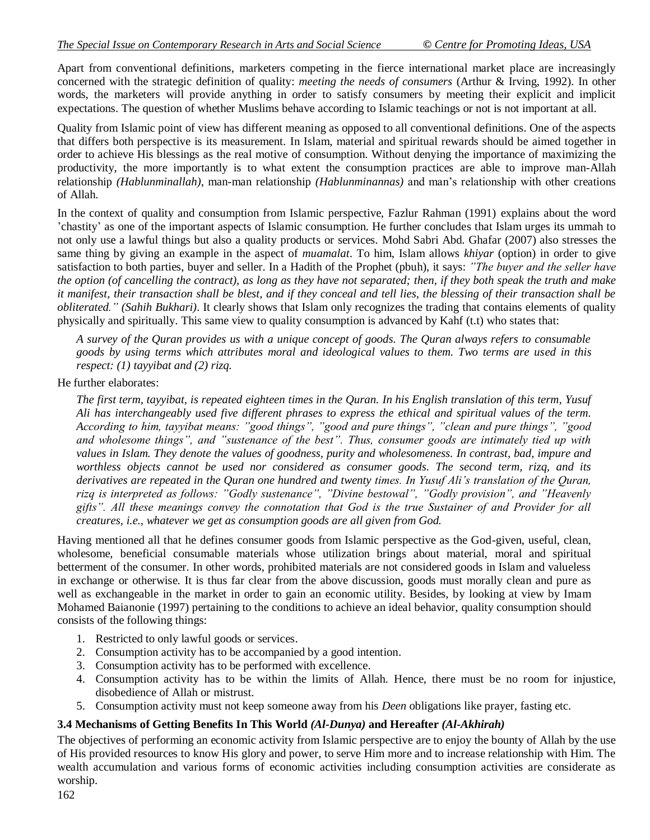Apart from conventional definitions, marketers competing in the fierce international market place are increasingly concerned with the strategic definition of quality: *meeting the needs of consumers* (Arthur & Irving, 1992). In other words, the marketers will provide anything in order to satisfy consumers by meeting their explicit and implicit expectations. The question of whether Muslims behave according to Islamic teachings or not is not important at all.

Quality from Islamic point of view has different meaning as opposed to all conventional definitions. One of the aspects that differs both perspective is its measurement. In Islam, material and spiritual rewards should be aimed together in order to achieve His blessings as the real motive of consumption. Without denying the importance of maximizing the productivity, the more importantly is to what extent the consumption practices are able to improve man-Allah relationship *(Hablunminallah)*, man-man relationship *(Hablunminannas)* and man"s relationship with other creations of Allah.

In the context of quality and consumption from Islamic perspective, Fazlur Rahman (1991) explains about the word "chastity" as one of the important aspects of Islamic consumption. He further concludes that Islam urges its ummah to not only use a lawful things but also a quality products or services. Mohd Sabri Abd. Ghafar (2007) also stresses the same thing by giving an example in the aspect of *muamalat*. To him, Islam allows *khiyar* (option) in order to give satisfaction to both parties, buyer and seller. In a Hadith of the Prophet (pbuh), it says: *‖The buyer and the seller have the option (of cancelling the contract), as long as they have not separated; then, if they both speak the truth and make it manifest, their transaction shall be blest, and if they conceal and tell lies, the blessing of their transaction shall be obliterated.*" *(Sahih Bukhari)*. It clearly shows that Islam only recognizes the trading that contains elements of quality physically and spiritually. This same view to quality consumption is advanced by Kahf (t.t) who states that:

*A survey of the Quran provides us with a unique concept of goods. The Quran always refers to consumable goods by using terms which attributes moral and ideological values to them. Two terms are used in this respect: (1) tayyibat and (2) rizq.*

He further elaborates:

*The first term, tayyibat, is repeated eighteen times in the Quran. In his English translation of this term, Yusuf Ali has interchangeably used five different phrases to express the ethical and spiritual values of the term. According to him, tayyibat means: ‖good things‖, ‖good and pure things‖, ‖clean and pure things‖, ‖good and wholesome things‖, and ‖sustenance of the best‖. Thus, consumer goods are intimately tied up with values in Islam. They denote the values of goodness, purity and wholesomeness. In contrast, bad, impure and worthless objects cannot be used nor considered as consumer goods. The second term, rizq, and its derivatives are repeated in the Quran one hundred and twenty times. In Yusuf Ali's translation of the Quran,*  rizq is interpreted as follows: "Godly sustenance", "Divine bestowal", "Godly provision", and "Heavenly *gifts‖. All these meanings convey the connotation that God is the true Sustainer of and Provider for all creatures, i.e., whatever we get as consumption goods are all given from God.*

Having mentioned all that he defines consumer goods from Islamic perspective as the God-given, useful, clean, wholesome, beneficial consumable materials whose utilization brings about material, moral and spiritual betterment of the consumer. In other words, prohibited materials are not considered goods in Islam and valueless in exchange or otherwise. It is thus far clear from the above discussion, goods must morally clean and pure as well as exchangeable in the market in order to gain an economic utility. Besides, by looking at view by Imam Mohamed Baianonie (1997) pertaining to the conditions to achieve an ideal behavior, quality consumption should consists of the following things:

- 1. Restricted to only lawful goods or services.
- 2. Consumption activity has to be accompanied by a good intention.
- 3. Consumption activity has to be performed with excellence.
- 4. Consumption activity has to be within the limits of Allah. Hence, there must be no room for injustice, disobedience of Allah or mistrust.
- 5. Consumption activity must not keep someone away from his *Deen* obligations like prayer, fasting etc.

## **3.4 Mechanisms of Getting Benefits In This World** *(Al-Dunya)* **and Hereafter** *(Al-Akhirah)*

The objectives of performing an economic activity from Islamic perspective are to enjoy the bounty of Allah by the use of His provided resources to know His glory and power, to serve Him more and to increase relationship with Him. The wealth accumulation and various forms of economic activities including consumption activities are considerate as worship.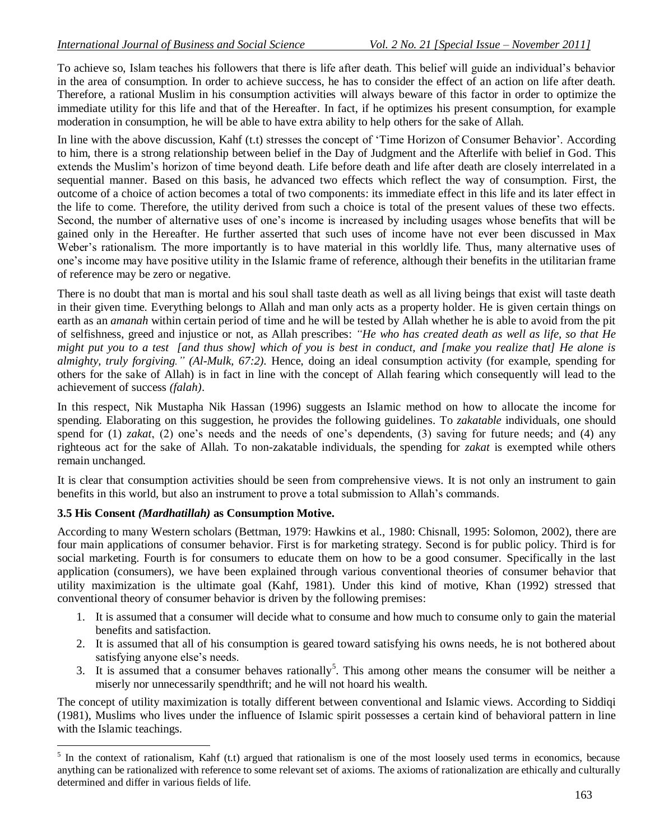To achieve so, Islam teaches his followers that there is life after death. This belief will guide an individual"s behavior in the area of consumption. In order to achieve success, he has to consider the effect of an action on life after death. Therefore, a rational Muslim in his consumption activities will always beware of this factor in order to optimize the immediate utility for this life and that of the Hereafter. In fact, if he optimizes his present consumption, for example moderation in consumption, he will be able to have extra ability to help others for the sake of Allah.

In line with the above discussion, Kahf (t.t) stresses the concept of 'Time Horizon of Consumer Behavior'. According to him, there is a strong relationship between belief in the Day of Judgment and the Afterlife with belief in God. This extends the Muslim"s horizon of time beyond death. Life before death and life after death are closely interrelated in a sequential manner. Based on this basis, he advanced two effects which reflect the way of consumption. First, the outcome of a choice of action becomes a total of two components: its immediate effect in this life and its later effect in the life to come. Therefore, the utility derived from such a choice is total of the present values of these two effects. Second, the number of alternative uses of one"s income is increased by including usages whose benefits that will be gained only in the Hereafter. He further asserted that such uses of income have not ever been discussed in Max Weber's rationalism. The more importantly is to have material in this worldly life. Thus, many alternative uses of one"s income may have positive utility in the Islamic frame of reference, although their benefits in the utilitarian frame of reference may be zero or negative.

There is no doubt that man is mortal and his soul shall taste death as well as all living beings that exist will taste death in their given time. Everything belongs to Allah and man only acts as a property holder. He is given certain things on earth as an *amanah* within certain period of time and he will be tested by Allah whether he is able to avoid from the pit of selfishness, greed and injustice or not, as Allah prescribes: "He who has created death as well as life, so that He *might put you to a test [and thus show] which of you is best in conduct, and [make you realize that] He alone is almighty, truly forgiving.‖ (Al-Mulk, 67:2).* Hence, doing an ideal consumption activity (for example, spending for others for the sake of Allah) is in fact in line with the concept of Allah fearing which consequently will lead to the achievement of success *(falah)*.

In this respect, Nik Mustapha Nik Hassan (1996) suggests an Islamic method on how to allocate the income for spending. Elaborating on this suggestion, he provides the following guidelines. To *zakatable* individuals, one should spend for (1) *zakat*, (2) one's needs and the needs of one's dependents, (3) saving for future needs; and (4) any righteous act for the sake of Allah. To non-zakatable individuals, the spending for *zakat* is exempted while others remain unchanged.

It is clear that consumption activities should be seen from comprehensive views. It is not only an instrument to gain benefits in this world, but also an instrument to prove a total submission to Allah"s commands.

## **3.5 His Consent** *(Mardhatillah)* **as Consumption Motive.**

 $\overline{a}$ 

According to many Western scholars (Bettman, 1979: Hawkins et al., 1980: Chisnall, 1995: Solomon, 2002), there are four main applications of consumer behavior. First is for marketing strategy. Second is for public policy. Third is for social marketing. Fourth is for consumers to educate them on how to be a good consumer. Specifically in the last application (consumers), we have been explained through various conventional theories of consumer behavior that utility maximization is the ultimate goal (Kahf, 1981). Under this kind of motive, Khan (1992) stressed that conventional theory of consumer behavior is driven by the following premises:

- 1. It is assumed that a consumer will decide what to consume and how much to consume only to gain the material benefits and satisfaction.
- 2. It is assumed that all of his consumption is geared toward satisfying his owns needs, he is not bothered about satisfying anyone else's needs.
- 3. It is assumed that a consumer behaves rationally<sup>5</sup>. This among other means the consumer will be neither a miserly nor unnecessarily spendthrift; and he will not hoard his wealth.

The concept of utility maximization is totally different between conventional and Islamic views. According to Siddiqi (1981), Muslims who lives under the influence of Islamic spirit possesses a certain kind of behavioral pattern in line with the Islamic teachings.

 $<sup>5</sup>$  In the context of rationalism, Kahf (t.t) argued that rationalism is one of the most loosely used terms in economics, because</sup> anything can be rationalized with reference to some relevant set of axioms. The axioms of rationalization are ethically and culturally determined and differ in various fields of life.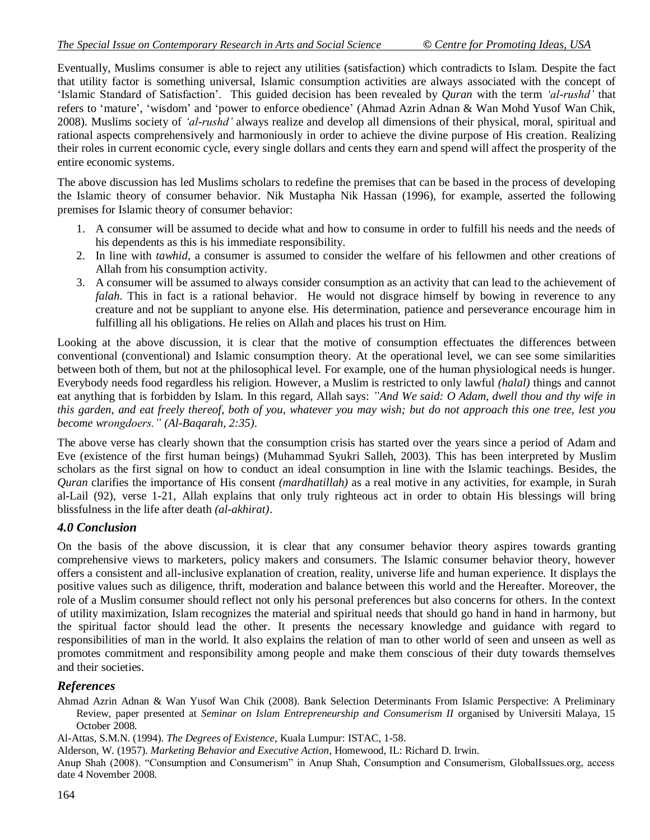Eventually, Muslims consumer is able to reject any utilities (satisfaction) which contradicts to Islam. Despite the fact that utility factor is something universal, Islamic consumption activities are always associated with the concept of "Islamic Standard of Satisfaction". This guided decision has been revealed by *Quran* with the term *‗al-rushd'* that refers to 'mature', 'wisdom' and 'power to enforce obedience' (Ahmad Azrin Adnan & Wan Mohd Yusof Wan Chik, 2008). Muslims society of *‗al-rushd'* always realize and develop all dimensions of their physical, moral, spiritual and rational aspects comprehensively and harmoniously in order to achieve the divine purpose of His creation. Realizing their roles in current economic cycle, every single dollars and cents they earn and spend will affect the prosperity of the entire economic systems.

The above discussion has led Muslims scholars to redefine the premises that can be based in the process of developing the Islamic theory of consumer behavior. Nik Mustapha Nik Hassan (1996), for example, asserted the following premises for Islamic theory of consumer behavior:

- 1. A consumer will be assumed to decide what and how to consume in order to fulfill his needs and the needs of his dependents as this is his immediate responsibility.
- 2. In line with *tawhid*, a consumer is assumed to consider the welfare of his fellowmen and other creations of Allah from his consumption activity.
- 3. A consumer will be assumed to always consider consumption as an activity that can lead to the achievement of *falah*. This in fact is a rational behavior. He would not disgrace himself by bowing in reverence to any creature and not be suppliant to anyone else. His determination, patience and perseverance encourage him in fulfilling all his obligations. He relies on Allah and places his trust on Him.

Looking at the above discussion, it is clear that the motive of consumption effectuates the differences between conventional (conventional) and Islamic consumption theory. At the operational level, we can see some similarities between both of them, but not at the philosophical level. For example, one of the human physiological needs is hunger. Everybody needs food regardless his religion. However, a Muslim is restricted to only lawful *(halal)* things and cannot eat anything that is forbidden by Islam. In this regard, Allah says: "And We said: O Adam, dwell thou and thy wife in *this garden, and eat freely thereof, both of you, whatever you may wish; but do not approach this one tree, lest you become wrongdoers.‖ (Al-Baqarah, 2:35)*.

The above verse has clearly shown that the consumption crisis has started over the years since a period of Adam and Eve (existence of the first human beings) (Muhammad Syukri Salleh, 2003). This has been interpreted by Muslim scholars as the first signal on how to conduct an ideal consumption in line with the Islamic teachings. Besides, the *Quran* clarifies the importance of His consent *(mardhatillah)* as a real motive in any activities, for example, in Surah al-Lail (92), verse 1-21, Allah explains that only truly righteous act in order to obtain His blessings will bring blissfulness in the life after death *(al-akhirat)*.

## *4.0 Conclusion*

On the basis of the above discussion, it is clear that any consumer behavior theory aspires towards granting comprehensive views to marketers, policy makers and consumers. The Islamic consumer behavior theory, however offers a consistent and all-inclusive explanation of creation, reality, universe life and human experience. It displays the positive values such as diligence, thrift, moderation and balance between this world and the Hereafter. Moreover, the role of a Muslim consumer should reflect not only his personal preferences but also concerns for others. In the context of utility maximization, Islam recognizes the material and spiritual needs that should go hand in hand in harmony, but the spiritual factor should lead the other. It presents the necessary knowledge and guidance with regard to responsibilities of man in the world. It also explains the relation of man to other world of seen and unseen as well as promotes commitment and responsibility among people and make them conscious of their duty towards themselves and their societies.

## *References*

Ahmad Azrin Adnan & Wan Yusof Wan Chik (2008). Bank Selection Determinants From Islamic Perspective: A Preliminary Review, paper presented at *Seminar on Islam Entrepreneurship and Consumerism II* organised by Universiti Malaya, 15 October 2008.

Al-Attas, S.M.N. (1994). *The Degrees of Existence*, Kuala Lumpur: ISTAC, 1-58.

Alderson, W. (1957). *Marketing Behavior and Executive Action*, Homewood, IL: Richard D. Irwin.

Anup Shah (2008). "Consumption and Consumerism" in Anup Shah, Consumption and Consumerism, GlobalIssues.org, access date 4 November 2008.